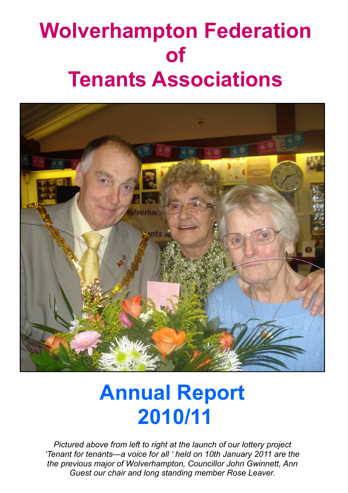# Wolverhampton Federation of Tenants Associations



# Annual Report 2010/11

Pictured above from left to right at the launch of our lottery project 'Tenant for tenants—a voice for all ' held on 10th January 2011 are the the previous major of Wolverhampton, Councillor John Gwinnett, Ann Guest our chair and long standing member Rose Leaver.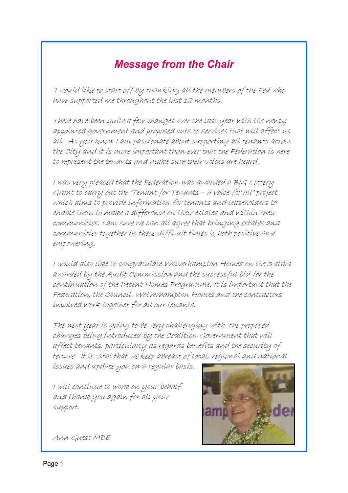### Message from the Chair

'I would like to start off by thanking all the members of the Fed who have supported me throughout the last 12 months.

There have been quite a few changes over the last year with the newly appointed government and proposed cuts to services that will affect us all. As you know I am passionate about supporting all tenants across the City and it is more important than ever that the Federation is here to represent the tenants and make sure their voices are heard.

I was very pleased that the Federation was awarded a BIG Lottery Grant to carry out the 'Tenant for Tenants – a voice for all' project which aims to provide information for tenants and leaseholders to enable them to make a difference on their estates and within their communities. I am sure we can all agree that bringing estates and communities together in these difficult times is both positive and empowering.

I would also like to congratulate Wolverhampton Homes on the 3 stars awarded by the Audit Commission and the successful bid for the continuation of the Decent Homes Programme. It is important that the Federation, the Council, Wolverhampton Homes and the contractors involved work together for all our tenants.

The next year is going to be very challenging with the proposed changes being introduced by the Coalition Government that will affect tenants, particularly as regards benefits and the security of tenure. It is vital that we keep abreast of local, regional and national

issues and update you on a regular basis.

I will continue to work on your behalf and thank you again for all your support.



Ann Guest MBE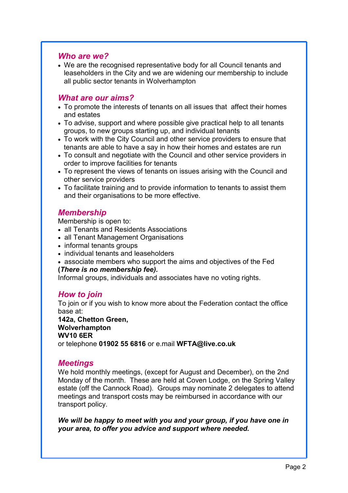#### Who are we?

• We are the recognised representative body for all Council tenants and leaseholders in the City and we are widening our membership to include all public sector tenants in Wolverhampton

#### What are our aims?

- To promote the interests of tenants on all issues that affect their homes and estates
- To advise, support and where possible give practical help to all tenants groups, to new groups starting up, and individual tenants
- To work with the City Council and other service providers to ensure that tenants are able to have a say in how their homes and estates are run
- To consult and negotiate with the Council and other service providers in order to improve facilities for tenants
- To represent the views of tenants on issues arising with the Council and other service providers
- To facilitate training and to provide information to tenants to assist them and their organisations to be more effective.

#### Membership

Membership is open to:

- all Tenants and Residents Associations
- all Tenant Management Organisations
- informal tenants groups
- individual tenants and leaseholders
- associate members who support the aims and objectives of the Fed

#### (There is no membership fee).

Informal groups, individuals and associates have no voting rights.

#### How to join

To join or if you wish to know more about the Federation contact the office base at:

#### 142a, Chetton Green, Wolverhampton

#### WV10 6ER

or telephone 01902 55 6816 or e.mail WFTA@live.co.uk

#### **Meetings**

l,

We hold monthly meetings, (except for August and December), on the 2nd Monday of the month. These are held at Coven Lodge, on the Spring Valley estate (off the Cannock Road). Groups may nominate 2 delegates to attend meetings and transport costs may be reimbursed in accordance with our transport policy.

We will be happy to meet with you and your group, if you have one in your area, to offer you advice and support where needed.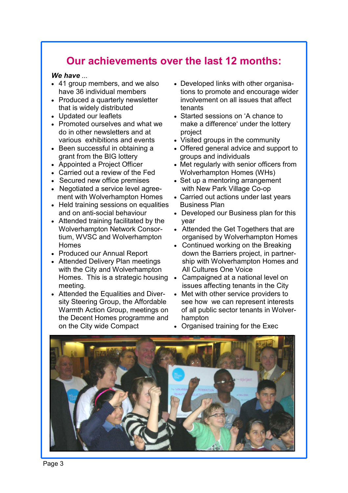### Our achievements over the last 12 months:

#### We have ...

- 41 group members, and we also have 36 individual members
- Produced a quarterly newsletter that is widely distributed
- Updated our leaflets
- Promoted ourselves and what we do in other newsletters and at various exhibitions and events
- Been successful in obtaining a grant from the BIG lottery
- Appointed a Project Officer
- Carried out a review of the Fed
- Secured new office premises
- Negotiated a service level agreement with Wolverhampton Homes
- Held training sessions on equalities and on anti-social behaviour
- Attended training facilitated by the Wolverhampton Network Consortium, WVSC and Wolverhampton Homes
- Produced our Annual Report
- Attended Delivery Plan meetings with the City and Wolverhampton Homes. This is a strategic housing meeting.
- Attended the Equalities and Diversity Steering Group, the Affordable Warmth Action Group, meetings on the Decent Homes programme and on the City wide Compact
- Developed links with other organisations to promote and encourage wider involvement on all issues that affect tenants
- Started sessions on 'A chance to make a difference' under the lottery project
- Visited groups in the community
- Offered general advice and support to groups and individuals
- Met regularly with senior officers from Wolverhampton Homes (WHs)
- Set up a mentoring arrangement with New Park Village Co-op
- Carried out actions under last years Business Plan
- Developed our Business plan for this year
- Attended the Get Togethers that are organised by Wolverhampton Homes
- Continued working on the Breaking down the Barriers project, in partnership with Wolverhampton Homes and All Cultures One Voice
- Campaigned at a national level on issues affecting tenants in the City
- Met with other service providers to see how we can represent interests of all public sector tenants in Wolverhampton
- Organised training for the Exec

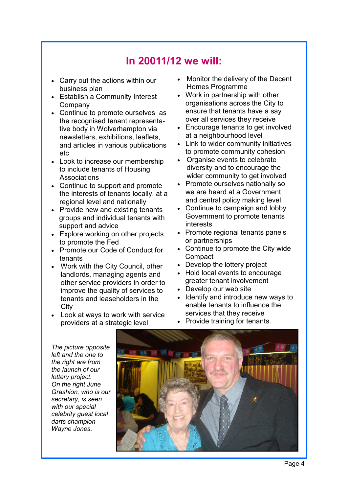### In 20011/12 we will:

- Carry out the actions within our business plan
- Establish a Community Interest Company
- Continue to promote ourselves as the recognised tenant representative body in Wolverhampton via newsletters, exhibitions, leaflets, and articles in various publications etc
- Look to increase our membership to include tenants of Housing Associations
- Continue to support and promote the interests of tenants locally, at a regional level and nationally
- Provide new and existing tenants groups and individual tenants with support and advice
- Explore working on other projects to promote the Fed
- Promote our Code of Conduct for tenants
- Work with the City Council, other landlords, managing agents and other service providers in order to improve the quality of services to tenants and leaseholders in the **City**
- Look at ways to work with service providers at a strategic level
- Monitor the delivery of the Decent Homes Programme
- Work in partnership with other organisations across the City to ensure that tenants have a say over all services they receive
- Encourage tenants to get involved at a neighbourhood level
- Link to wider community initiatives to promote community cohesion
- Organise events to celebrate diversity and to encourage the wider community to get involved
- Promote ourselves nationally so we are heard at a Government and central policy making level
- Continue to campaign and lobby Government to promote tenants interests
- Promote regional tenants panels or partnerships
- Continue to promote the City wide **Compact**
- Develop the lottery project
- Hold local events to encourage greater tenant involvement
- Develop our web site
- Identify and introduce new ways to enable tenants to influence the services that they receive
- Provide training for tenants.

The picture opposite left and the one to the right are from the launch of our lottery project. On the right June Grashion, who is our secretary, is seen with our special celebrity guest local darts champion Wayne Jones.

L

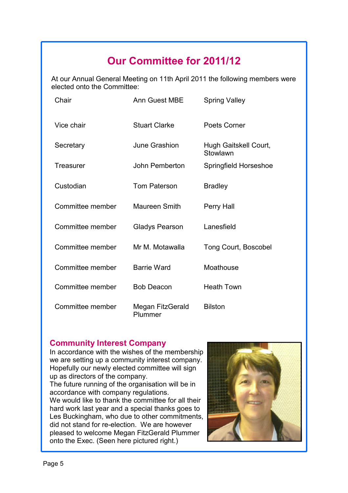## Our Committee for 2011/12

At our Annual General Meeting on 11th April 2011 the following members were elected onto the Committee:

| Chair            | <b>Ann Guest MBE</b>        | <b>Spring Valley</b>              |
|------------------|-----------------------------|-----------------------------------|
| Vice chair       | <b>Stuart Clarke</b>        | Poets Corner                      |
| Secretary        | June Grashion               | Hugh Gaitskell Court,<br>Stowlawn |
| Treasurer        | John Pemberton              | Springfield Horseshoe             |
| Custodian        | <b>Tom Paterson</b>         | <b>Bradley</b>                    |
| Committee member | <b>Maureen Smith</b>        | Perry Hall                        |
| Committee member | <b>Gladys Pearson</b>       | Lanesfield                        |
| Committee member | Mr M. Motawalla             | Tong Court, Boscobel              |
| Committee member | <b>Barrie Ward</b>          | Moathouse                         |
| Committee member | <b>Bob Deacon</b>           | <b>Heath Town</b>                 |
| Committee member | Megan FitzGerald<br>Plummer | <b>Bilston</b>                    |

#### Community Interest Company

In accordance with the wishes of the membership we are setting up a community interest company. Hopefully our newly elected committee will sign up as directors of the company.

The future running of the organisation will be in accordance with company regulations. We would like to thank the committee for all their hard work last year and a special thanks goes to Les Buckingham, who due to other commitments, did not stand for re-election. We are however pleased to welcome Megan FitzGerald Plummer onto the Exec. (Seen here pictured right.)

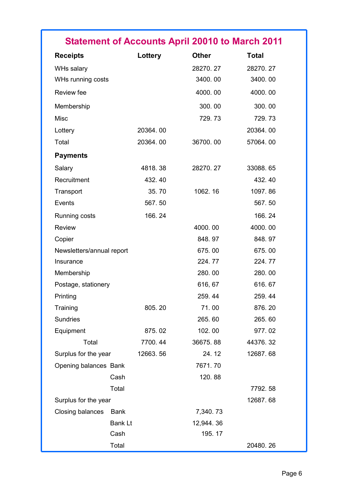| <b>Statement of Accounts April 20010 to March 2011</b> |  |  |  |
|--------------------------------------------------------|--|--|--|
|                                                        |  |  |  |

| <b>Receipts</b>           | Lottery        | <b>Other</b> | <b>Total</b> |
|---------------------------|----------------|--------------|--------------|
| WHs salary                |                | 28270.27     | 28270.27     |
| WHs running costs         |                | 3400.00      | 3400.00      |
| Review fee                |                | 4000.00      | 4000.00      |
| Membership                |                | 300.00       | 300.00       |
| <b>Misc</b>               |                | 729.73       | 729.73       |
| Lottery                   | 20364.00       |              | 20364.00     |
| Total                     | 20364.00       | 36700.00     | 57064.00     |
| <b>Payments</b>           |                |              |              |
| Salary                    | 4818.38        | 28270.27     | 33088.65     |
| Recruitment               | 432.40         |              | 432.40       |
| Transport                 | 35.70          | 1062.16      | 1097.86      |
| Events                    | 567.50         |              | 567.50       |
| Running costs             | 166.24         |              | 166.24       |
| <b>Review</b>             |                | 4000.00      | 4000.00      |
| Copier                    |                | 848.97       | 848.97       |
| Newsletters/annual report |                | 675.00       | 675.00       |
| Insurance                 |                | 224.77       | 224.77       |
| Membership                |                | 280.00       | 280.00       |
| Postage, stationery       |                | 616, 67      | 616.67       |
| Printing                  |                | 259.44       | 259.44       |
| Training                  | 805.20         | 71.00        | 876.20       |
| <b>Sundries</b>           |                | 265.60       | 265.60       |
| Equipment                 | 875.02         | 102.00       | 977.02       |
| Total                     | 7700.44        | 36675.88     | 44376.32     |
| Surplus for the year      | 12663.56       | 24.12        | 12687.68     |
| Opening balances Bank     |                | 7671.70      |              |
|                           | Cash           | 120.88       |              |
|                           | Total          |              | 7792.58      |
| Surplus for the year      |                |              | 12687.68     |
| Closing balances          | <b>Bank</b>    | 7,340.73     |              |
|                           | <b>Bank Lt</b> | 12,944.36    |              |
|                           | Cash           | 195.17       |              |
|                           | Total          |              | 20480.26     |